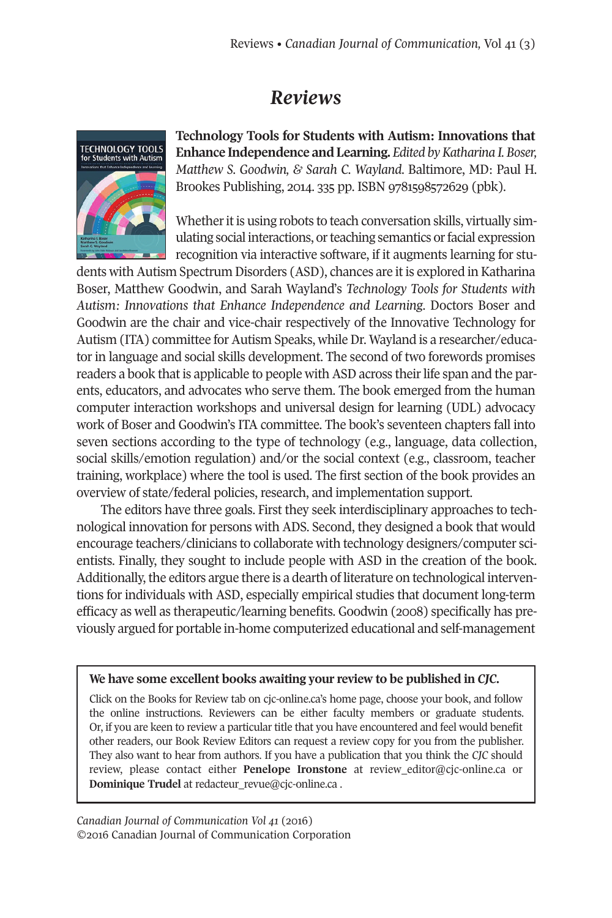## *Reviews*



**Technology Tools for Students with Autism: Innovations that Enhance Independence and Learning.** *Edited byKatharina I. Boser, Matthew S. Goodwin, & Sarah C. Wayland*. Baltimore, MD: Paul H. Brookes Publishing, 2014. 335 pp. ISBN 9781598572629 (pbk).

Whether it is using robots to teach conversation skills, virtually simulating social interactions, or teaching semantics or facial expression recognition via interactive software, if it augments learning for stu-

dents with Autism Spectrum Disorders (ASD), chances are it is explored in Katharina Boser, Matthew Goodwin, and Sarah Wayland's *Technology Tools for Students with Autism: Innovations that Enhance Independence and Learning*. Doctors Boser and Goodwin are the chair and vice-chair respectively of the Innovative Technology for Autism (ITA) committee for Autism Speaks, while Dr. Wayland is a researcher/educator in language and social skills development. The second of two forewords promises readers a book that is applicable to people with ASD across their life span and the parents, educators, and advocates who serve them. The book emerged from the human computer interaction workshops and universal design for learning (UDL) advocacy work of Boser and Goodwin's ITA committee. The book's seventeen chapters fall into seven sections according to the type of technology (e.g., language, data collection, social skills/emotion regulation) and/or the social context (e.g., classroom, teacher training, workplace) where the tool is used. The first section of the book provides an overview of state/federal policies, research, and implementation support.

The editors have three goals. First they seek interdisciplinary approaches to technological innovation for persons with ADS. Second, they designed a book that would encourage teachers/clinicians to collaborate with technology designers/computer scientists. Finally, they sought to include people with ASD in the creation of the book. Additionally, the editors argue there is a dearth of literature on technological interventions for individuals with ASD, especially empirical studies that document long-term efficacy as well as therapeutic/learning benefits. Goodwin (2008) specifically has previously argued for portable in-home computerized educational and self-management

## **We have some excellent books awaiting your review to be published in** *CJC.*

Click on the Books for Review tab on cjc-online.ca's home page, choose your book, and follow the online instructions. Reviewers can be either faculty members or graduate students. Or, if you are keen to review a particular title that you have encountered and feel would benefit other readers, our Book Review Editors can request a review copy for you from the publisher. They also want to hear from authors. If you have a publication that you think the *CJC* should review, please contact either **Penelope Ironstone** at [review\\_editor@cjc-online.ca](mailto:review_editor@cjc-online.ca) or **Dominique Trudel** at [redacteur\\_revue@cjc-online.ca](mailto:redacteur_revue@cjc-online.ca) .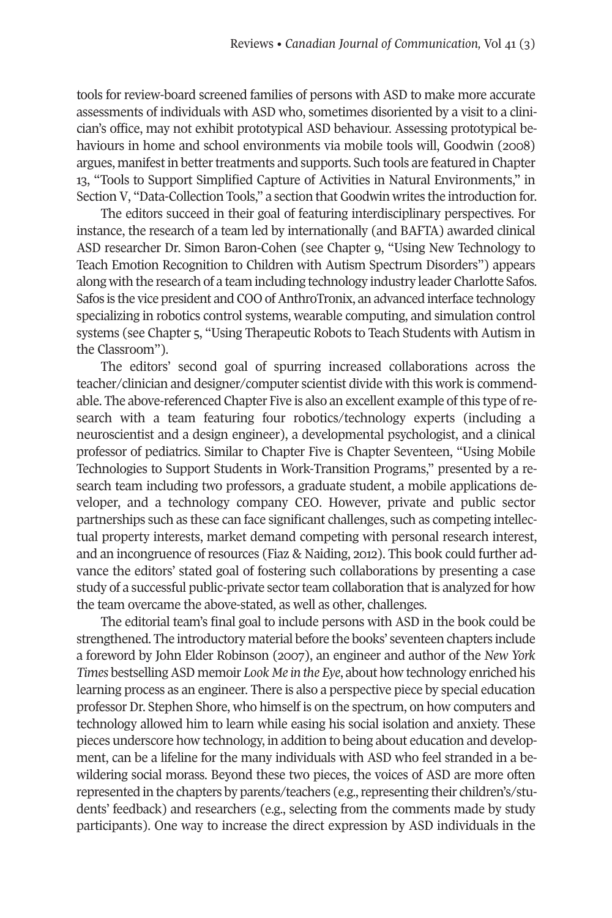tools for review-board screened families of persons with ASD to make more accurate assessments of individuals with ASD who, sometimes disoriented by a visit to a clinician's office, may not exhibit prototypical ASD behaviour. Assessing prototypical behaviours in home and school environments via mobile tools will, Goodwin (2008) argues, manifest in better treatments and supports. Such tools are featured in Chapter 13, "Tools to Support Simplified Capture of Activities in Natural Environments," in Section V, "Data-Collection Tools," a section that Goodwin writes the introduction for.

The editors succeed in their goal of featuring interdisciplinary perspectives. For instance, the research of a team led by internationally (and BAFTA) awarded clinical ASD researcher Dr. Simon Baron-Cohen (see Chapter 9, "Using New Technology to Teach Emotion Recognition to Children with Autism Spectrum Disorders") appears along with the research of a team including technology industry leader Charlotte Safos. Safos is the vice president and COO of AnthroTronix, an advanced interface technology specializing in robotics control systems, wearable computing, and simulation control systems (see Chapter 5, "Using Therapeutic Robots to Teach Students with Autism in the Classroom").

The editors' second goal of spurring increased collaborations across the teacher/clinician and designer/computer scientist divide with this work is commendable. The above-referenced Chapter Five is also an excellent example of this type of research with a team featuring four robotics/technology experts (including a neuroscientist and a design engineer), a developmental psychologist, and a clinical professor of pediatrics. Similar to Chapter Five is Chapter Seventeen, "Using Mobile Technologies to Support Students in Work-Transition Programs," presented by a research team including two professors, a graduate student, a mobile applications developer, and a technology company CEO. However, private and public sector partnerships such as these can face significant challenges, such as competing intellectual property interests, market demand competing with personal research interest, and an incongruence of resources (Fiaz & Naiding, 2012). This book could further advance the editors' stated goal of fostering such collaborations by presenting a case study of a successful public-private sector team collaboration that is analyzed for how the team overcame the above-stated, as well as other, challenges.

The editorial team's final goal to include persons with ASD in the book could be strengthened. The introductory material before the books' seventeen chapters include a foreword by John Elder Robinson (2007), an engineer and author of the *New York Times* bestsellingASD memoir *Look Me in the Eye*, about how technology enriched his learning process as an engineer. There is also a perspective piece by special education professor Dr. Stephen Shore, who himself is on the spectrum, on how computers and technology allowed him to learn while easing his social isolation and anxiety. These pieces underscore how technology, in addition to being about education and development, can be a lifeline for the many individuals with ASD who feel stranded in a bewildering social morass. Beyond these two pieces, the voices of ASD are more often represented in the chapters by parents/teachers (e.g., representing their children's/students' feedback) and researchers (e.g., selecting from the comments made by study participants). One way to increase the direct expression by ASD individuals in the